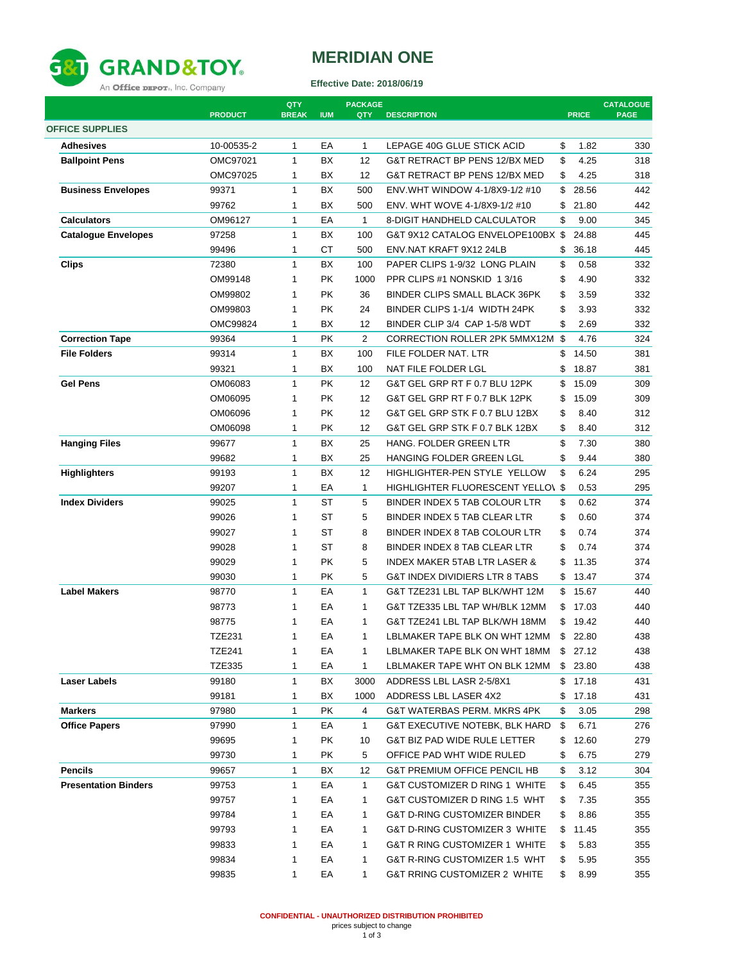

## **MERIDIAN ONE**

**Effective Date: 2018/06/19**

|                             | <b>PRODUCT</b> | QTY<br><b>BREAK</b> | <b>IUM</b> | <b>PACKAGE</b><br>QTY | <b>DESCRIPTION</b>                       | <b>PRICE</b> | <b>CATALOGUE</b><br><b>PAGE</b> |
|-----------------------------|----------------|---------------------|------------|-----------------------|------------------------------------------|--------------|---------------------------------|
| <b>OFFICE SUPPLIES</b>      |                |                     |            |                       |                                          |              |                                 |
| <b>Adhesives</b>            | 10-00535-2     | $\mathbf{1}$        | EA         | $\mathbf{1}$          | LEPAGE 40G GLUE STICK ACID               | \$<br>1.82   | 330                             |
| <b>Ballpoint Pens</b>       | OMC97021       | $\mathbf{1}$        | <b>BX</b>  | 12                    | G&T RETRACT BP PENS 12/BX MED            | \$<br>4.25   | 318                             |
|                             | OMC97025       | 1                   | ВX         | 12                    | G&T RETRACT BP PENS 12/BX MED            | \$<br>4.25   | 318                             |
| <b>Business Envelopes</b>   | 99371          | $\mathbf{1}$        | BX         | 500                   | ENV.WHT WINDOW 4-1/8X9-1/2 #10           | \$<br>28.56  | 442                             |
|                             | 99762          | 1                   | ВX         | 500                   | ENV. WHT WOVE 4-1/8X9-1/2 #10            | \$<br>21.80  | 442                             |
| <b>Calculators</b>          | OM96127        | 1                   | EA         | $\mathbf{1}$          | <b>8-DIGIT HANDHELD CALCULATOR</b>       | \$<br>9.00   | 345                             |
| <b>Catalogue Envelopes</b>  | 97258          | $\mathbf{1}$        | <b>BX</b>  | 100                   | G&T 9X12 CATALOG ENVELOPE100BX \$        | 24.88        | 445                             |
|                             | 99496          | 1                   | СT         | 500                   | ENV.NAT KRAFT 9X12 24LB                  | \$<br>36.18  | 445                             |
| <b>Clips</b>                | 72380          | $\mathbf{1}$        | ВX         | 100                   | PAPER CLIPS 1-9/32 LONG PLAIN            | \$<br>0.58   | 332                             |
|                             | OM99148        | $\mathbf{1}$        | <b>PK</b>  | 1000                  | PPR CLIPS #1 NONSKID 1 3/16              | \$<br>4.90   | 332                             |
|                             | OM99802        | 1                   | <b>PK</b>  | 36                    | BINDER CLIPS SMALL BLACK 36PK            | \$<br>3.59   | 332                             |
|                             | OM99803        | $\mathbf{1}$        | PK         | 24                    | BINDER CLIPS 1-1/4 WIDTH 24PK            | \$<br>3.93   | 332                             |
|                             | OMC99824       | $\mathbf{1}$        | BX         | 12                    | BINDER CLIP 3/4 CAP 1-5/8 WDT            | \$<br>2.69   | 332                             |
| <b>Correction Tape</b>      | 99364          | 1                   | <b>PK</b>  | $\overline{2}$        | CORRECTION ROLLER 2PK 5MMX12M \$         | 4.76         | 324                             |
| <b>File Folders</b>         | 99314          | $\mathbf{1}$        | ВX         | 100                   | FILE FOLDER NAT. LTR                     | \$<br>14.50  | 381                             |
|                             | 99321          | 1                   | ВX         | 100                   | NAT FILE FOLDER LGL                      | \$<br>18.87  | 381                             |
| <b>Gel Pens</b>             | OM06083        | $\mathbf{1}$        | <b>PK</b>  | 12                    | G&T GEL GRP RT F 0.7 BLU 12PK            | \$<br>15.09  | 309                             |
|                             | OM06095        | $\mathbf{1}$        | <b>PK</b>  | 12                    | G&T GEL GRP RT F 0.7 BLK 12PK            | \$<br>15.09  | 309                             |
|                             | OM06096        | 1                   | <b>PK</b>  | 12                    | G&T GEL GRP STK F 0.7 BLU 12BX           | \$<br>8.40   | 312                             |
|                             | OM06098        | 1                   | PΚ         | 12                    | G&T GEL GRP STK F 0.7 BLK 12BX           | \$<br>8.40   | 312                             |
| <b>Hanging Files</b>        | 99677          | $\mathbf{1}$        | BX         | 25                    | HANG. FOLDER GREEN LTR                   | \$<br>7.30   | 380                             |
|                             | 99682          | 1                   | ВX         | 25                    | HANGING FOLDER GREEN LGL                 | \$<br>9.44   | 380                             |
| <b>Highlighters</b>         | 99193          | $\mathbf{1}$        | BX         | 12                    | HIGHLIGHTER-PEN STYLE YELLOW             | \$<br>6.24   | 295                             |
|                             | 99207          | 1                   | EA         | $\mathbf{1}$          | <b>HIGHLIGHTER FLUORESCENT YELLOV \$</b> | 0.53         | 295                             |
| <b>Index Dividers</b>       | 99025          | $\mathbf{1}$        | ST         | 5                     | BINDER INDEX 5 TAB COLOUR LTR            | \$<br>0.62   | 374                             |
|                             | 99026          | $\mathbf{1}$        | ST         | 5                     | BINDER INDEX 5 TAB CLEAR LTR             | \$<br>0.60   | 374                             |
|                             | 99027          | $\mathbf{1}$        | ST         | 8                     | BINDER INDEX 8 TAB COLOUR LTR            | \$<br>0.74   | 374                             |
|                             | 99028          | $\mathbf{1}$        | <b>ST</b>  | 8                     | BINDER INDEX 8 TAB CLEAR LTR             | \$<br>0.74   | 374                             |
|                             | 99029          | 1                   | <b>PK</b>  | 5                     | <b>INDEX MAKER 5TAB LTR LASER &amp;</b>  | \$<br>11.35  | 374                             |
|                             | 99030          | 1                   | <b>PK</b>  | 5                     | G&T INDEX DIVIDIERS LTR 8 TABS           | \$<br>13.47  | 374                             |
| <b>Label Makers</b>         | 98770          | $\mathbf{1}$        | EA         | $\mathbf{1}$          | G&T TZE231 LBL TAP BLK/WHT 12M           | \$<br>15.67  | 440                             |
|                             | 98773          | $\mathbf{1}$        | EA         | $\mathbf{1}$          | G&T TZE335 LBL TAP WH/BLK 12MM           | \$<br>17.03  | 440                             |
|                             | 98775          | 1                   | EA         | $\mathbf{1}$          | G&T TZE241 LBL TAP BLK/WH 18MM           | \$<br>19.42  | 440                             |
|                             | TZE231         | 1                   | ЕA         | 1                     | LBLMAKER TAPE BLK ON WHT 12MM            | \$<br>22.80  | 438                             |
|                             | <b>TZE241</b>  | 1                   | EA         | 1                     | LBLMAKER TAPE BLK ON WHT 18MM            | \$27.12      | 438                             |
|                             | <b>TZE335</b>  | 1                   | EA         | 1                     | LBLMAKER TAPE WHT ON BLK 12MM            | \$<br>23.80  | 438                             |
|                             | 99180          | $\mathbf{1}$        | BX         | 3000                  | ADDRESS LBL LASR 2-5/8X1                 | \$<br>17.18  | 431                             |
| Laser Labels                | 99181          | 1                   | BX         | 1000                  | ADDRESS LBL LASER 4X2                    | \$<br>17.18  | 431                             |
| <b>Markers</b>              | 97980          | 1                   | PK         | 4                     | G&T WATERBAS PERM. MKRS 4PK              | \$<br>3.05   | 298                             |
| <b>Office Papers</b>        | 97990          | 1                   | EA         | 1                     | G&T EXECUTIVE NOTEBK, BLK HARD           | \$<br>6.71   | 276                             |
|                             |                |                     | <b>PK</b>  |                       |                                          |              |                                 |
|                             | 99695          | 1                   |            | 10                    | G&T BIZ PAD WIDE RULE LETTER             | \$<br>12.60  | 279                             |
|                             | 99730          | 1                   | PK         | 5                     | OFFICE PAD WHT WIDE RULED                | \$<br>6.75   | 279                             |
| <b>Pencils</b>              | 99657          | 1                   | BX         | 12                    | <b>G&amp;T PREMIUM OFFICE PENCIL HB</b>  | \$<br>3.12   | 304                             |
| <b>Presentation Binders</b> | 99753          | 1                   | EA         | $\mathbf{1}$          | G&T CUSTOMIZER D RING 1 WHITE            | \$<br>6.45   | 355                             |
|                             | 99757          | 1                   | EA         | 1                     | G&T CUSTOMIZER D RING 1.5 WHT            | \$<br>7.35   | 355                             |
|                             | 99784          | 1                   | ЕA         | $\mathbf{1}$          | <b>G&amp;T D-RING CUSTOMIZER BINDER</b>  | \$<br>8.86   | 355                             |
|                             | 99793          | 1                   | EA         | $\mathbf{1}$          | G&T D-RING CUSTOMIZER 3 WHITE            | \$<br>11.45  | 355                             |
|                             | 99833          | 1                   | ЕA         | $\mathbf{1}$          | G&T R RING CUSTOMIZER 1 WHITE            | \$<br>5.83   | 355                             |
|                             | 99834          | 1                   | EA         | $\mathbf{1}$          | G&T R-RING CUSTOMIZER 1.5 WHT            | \$<br>5.95   | 355                             |
|                             | 99835          | 1                   | EA         | $\mathbf{1}$          | G&T RRING CUSTOMIZER 2 WHITE             | \$<br>8.99   | 355                             |

**CONFIDENTIAL - UNAUTHORIZED DISTRIBUTION PROHIBITED**<br>prices subject to change<br>1 of 3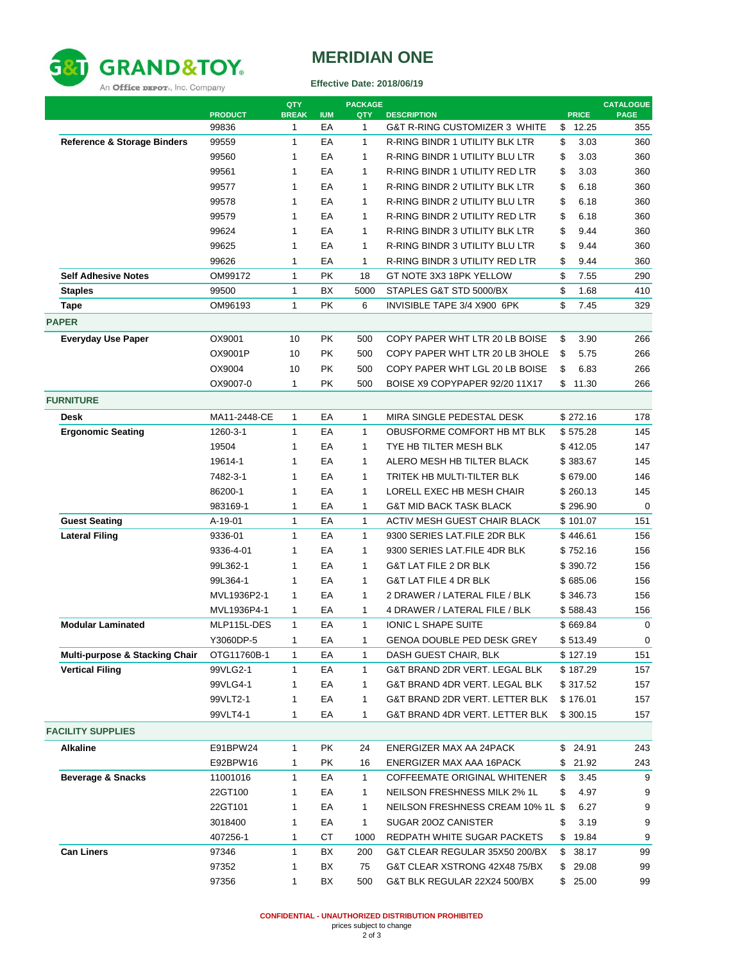

## **MERIDIAN ONE**

**Effective Date: 2018/06/19**

|                                           | <b>PRODUCT</b> | QTY<br><b>BREAK</b> | <b>IUM</b> | <b>PACKAGE</b><br>QTY | <b>DESCRIPTION</b>                    | <b>PRICE</b> | <b>CATALOGUE</b><br><b>PAGE</b> |
|-------------------------------------------|----------------|---------------------|------------|-----------------------|---------------------------------------|--------------|---------------------------------|
|                                           | 99836          | $\mathbf{1}$        | EA         | $\mathbf{1}$          | G&T R-RING CUSTOMIZER 3 WHITE         | \$<br>12.25  | 355                             |
| <b>Reference &amp; Storage Binders</b>    | 99559          | 1                   | EA         | $\mathbf{1}$          | R-RING BINDR 1 UTILITY BLK LTR        | \$<br>3.03   | 360                             |
|                                           | 99560          | 1                   | EA         | 1                     | <b>R-RING BINDR 1 UTILITY BLU LTR</b> | \$<br>3.03   | 360                             |
|                                           | 99561          | 1                   | EA         | $\mathbf{1}$          | R-RING BINDR 1 UTILITY RED LTR        | \$<br>3.03   | 360                             |
|                                           | 99577          | 1                   | EA         | 1                     | R-RING BINDR 2 UTILITY BLK LTR        | \$<br>6.18   | 360                             |
|                                           | 99578          | 1                   | EA         | $\mathbf{1}$          | R-RING BINDR 2 UTILITY BLU LTR        | \$<br>6.18   | 360                             |
|                                           | 99579          | 1                   | EA         | $\mathbf{1}$          | R-RING BINDR 2 UTILITY RED LTR        | \$<br>6.18   | 360                             |
|                                           | 99624          | 1                   | EA         | $\mathbf{1}$          | R-RING BINDR 3 UTILITY BLK LTR        | \$<br>9.44   | 360                             |
|                                           | 99625          | 1                   | EA         | 1                     | <b>R-RING BINDR 3 UTILITY BLU LTR</b> | \$<br>9.44   | 360                             |
|                                           | 99626          | $\mathbf{1}$        | EA         | 1                     | R-RING BINDR 3 UTILITY RED LTR        | \$<br>9.44   | 360                             |
| <b>Self Adhesive Notes</b>                | OM99172        | $\mathbf{1}$        | <b>PK</b>  | 18                    | GT NOTE 3X3 18PK YELLOW               | \$<br>7.55   | 290                             |
| <b>Staples</b>                            | 99500          | $\mathbf{1}$        | <b>BX</b>  | 5000                  | STAPLES G&T STD 5000/BX               | \$<br>1.68   | 410                             |
|                                           | OM96193        | $\mathbf{1}$        | <b>PK</b>  | 6                     | INVISIBLE TAPE 3/4 X900 6PK           | \$<br>7.45   | 329                             |
| Tape                                      |                |                     |            |                       |                                       |              |                                 |
| <b>PAPER</b>                              |                |                     |            |                       |                                       |              |                                 |
| <b>Everyday Use Paper</b>                 | OX9001         | 10                  | <b>PK</b>  | 500                   | COPY PAPER WHT LTR 20 LB BOISE        | \$<br>3.90   | 266                             |
|                                           | OX9001P        | 10                  | <b>PK</b>  | 500                   | COPY PAPER WHT LTR 20 LB 3HOLE        | \$<br>5.75   | 266                             |
|                                           | OX9004         | 10                  | <b>PK</b>  | 500                   | COPY PAPER WHT LGL 20 LB BOISE        | \$<br>6.83   | 266                             |
|                                           | OX9007-0       | $\mathbf{1}$        | <b>PK</b>  | 500                   | BOISE X9 COPYPAPER 92/20 11X17        | \$<br>11.30  | 266                             |
| <b>FURNITURE</b>                          |                |                     |            |                       |                                       |              |                                 |
| <b>Desk</b>                               | MA11-2448-CE   | $\mathbf{1}$        | EA         | 1                     | MIRA SINGLE PEDESTAL DESK             | \$272.16     | 178                             |
| <b>Ergonomic Seating</b>                  | 1260-3-1       | 1                   | EA         | 1                     | OBUSFORME COMFORT HB MT BLK           | \$575.28     | 145                             |
|                                           | 19504          | $\mathbf{1}$        | EA         | 1                     | TYE HB TILTER MESH BLK                | \$412.05     | 147                             |
|                                           | 19614-1        | 1                   | EA         | $\mathbf{1}$          | ALERO MESH HB TILTER BLACK            | \$383.67     | 145                             |
|                                           | 7482-3-1       | 1                   | EA         | $\mathbf{1}$          | TRITEK HB MULTI-TILTER BLK            | \$679.00     | 146                             |
|                                           | 86200-1        | $\mathbf{1}$        | EA         | $\mathbf{1}$          | LORELL EXEC HB MESH CHAIR             | \$260.13     | 145                             |
|                                           | 983169-1       | 1                   | EA         | $\mathbf{1}$          | <b>G&amp;T MID BACK TASK BLACK</b>    | \$296.90     | $\mathbf 0$                     |
| <b>Guest Seating</b>                      | A-19-01        | $\mathbf{1}$        | EA         | $\mathbf{1}$          | ACTIV MESH GUEST CHAIR BLACK          | \$101.07     | 151                             |
| <b>Lateral Filing</b>                     | 9336-01        | $\mathbf{1}$        | EA         | $\mathbf{1}$          | 9300 SERIES LAT.FILE 2DR BLK          | \$446.61     | 156                             |
|                                           | 9336-4-01      | 1                   | EA         | 1                     | 9300 SERIES LAT.FILE 4DR BLK          | \$752.16     | 156                             |
|                                           | 99L362-1       | 1                   | EA         | $\mathbf{1}$          | G&T LAT FILE 2 DR BLK                 | \$390.72     | 156                             |
|                                           | 99L364-1       | 1                   | EA         | 1                     | <b>G&amp;T LAT FILE 4 DR BLK</b>      | \$685.06     | 156                             |
|                                           | MVL1936P2-1    | 1                   | EA         | $\mathbf{1}$          | 2 DRAWER / LATERAL FILE / BLK         | \$346.73     | 156                             |
|                                           | MVL1936P4-1    | 1                   | EA         | 1                     | 4 DRAWER / LATERAL FILE / BLK         | \$588.43     | 156                             |
| <b>Modular Laminated</b>                  | MLP115L-DES    | $\mathbf{1}$        | EA         | 1                     | <b>IONIC L SHAPE SUITE</b>            | \$669.84     | 0                               |
|                                           | Y3060DP-5      | 1                   | EА         | 1                     | GENOA DOUBLE PED DESK GREY            | \$ 513.49    | 0                               |
| <b>Multi-purpose &amp; Stacking Chair</b> | OTG11760B-1    | 1                   | EA         | 1                     | DASH GUEST CHAIR, BLK                 | \$127.19     | 151                             |
| <b>Vertical Filing</b>                    | 99VLG2-1       | 1                   | EA         | 1                     | G&T BRAND 2DR VERT. LEGAL BLK         | \$187.29     | 157                             |
|                                           | 99VLG4-1       | $\mathbf{1}$        | EА         | 1                     | G&T BRAND 4DR VERT. LEGAL BLK         | \$317.52     | 157                             |
|                                           | 99VLT2-1       | 1                   | EA         | 1                     | G&T BRAND 2DR VERT. LETTER BLK        | \$176.01     | 157                             |
|                                           | 99VLT4-1       | 1                   | EА         | 1                     | G&T BRAND 4DR VERT. LETTER BLK        | \$300.15     | 157                             |
| <b>FACILITY SUPPLIES</b>                  |                |                     |            |                       |                                       |              |                                 |
| <b>Alkaline</b>                           | E91BPW24       | 1                   | PK         | 24                    | ENERGIZER MAX AA 24PACK               | \$<br>24.91  | 243                             |
|                                           | E92BPW16       | 1                   | РK         | 16                    | ENERGIZER MAX AAA 16PACK              | \$<br>21.92  | 243                             |
| <b>Beverage &amp; Snacks</b>              | 11001016       | 1                   | EA         | 1                     | COFFEEMATE ORIGINAL WHITENER          | \$<br>3.45   | 9                               |
|                                           | 22GT100        | $\mathbf{1}$        | EA         | 1                     | NEILSON FRESHNESS MILK 2% 1L          | \$<br>4.97   | 9                               |
|                                           |                | $\mathbf{1}$        | EA         | $\mathbf{1}$          |                                       |              |                                 |
|                                           | 22GT101        | $\mathbf{1}$        |            | $\mathbf{1}$          | NEILSON FRESHNESS CREAM 10% 1L \$     | 6.27         | 9                               |
|                                           | 3018400        |                     | EA         |                       | SUGAR 200Z CANISTER                   | \$<br>3.19   | 9                               |
|                                           | 407256-1       | 1                   | CT         | 1000                  | REDPATH WHITE SUGAR PACKETS           | \$<br>19.84  | 9                               |
| <b>Can Liners</b>                         | 97346          | $\mathbf{1}$        | BX         | 200                   | G&T CLEAR REGULAR 35X50 200/BX        | \$<br>38.17  | 99                              |
|                                           | 97352          | 1                   | BX         | 75                    | G&T CLEAR XSTRONG 42X48 75/BX         | \$<br>29.08  | 99                              |
|                                           | 97356          | 1                   | BX         | 500                   | G&T BLK REGULAR 22X24 500/BX          | \$25.00      | 99                              |